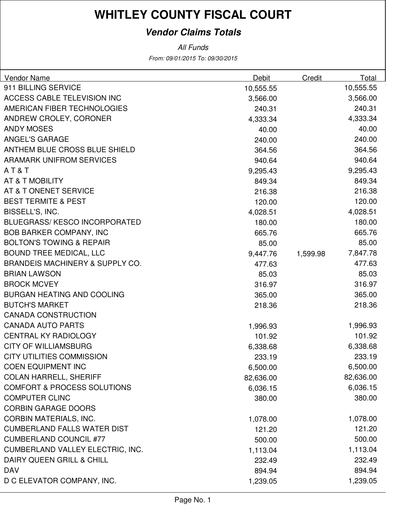### **Vendor Claims Totals**

From: 09/01/2015 To: 09/30/2015 All Funds

| Vendor Name                                | Debit     | Credit   | Total     |
|--------------------------------------------|-----------|----------|-----------|
| 911 BILLING SERVICE                        | 10,555.55 |          | 10,555.55 |
| ACCESS CABLE TELEVISION INC                | 3,566.00  |          | 3,566.00  |
| AMERICAN FIBER TECHNOLOGIES                | 240.31    |          | 240.31    |
| ANDREW CROLEY, CORONER                     | 4,333.34  |          | 4,333.34  |
| <b>ANDY MOSES</b>                          | 40.00     |          | 40.00     |
| <b>ANGEL'S GARAGE</b>                      | 240.00    |          | 240.00    |
| ANTHEM BLUE CROSS BLUE SHIELD              | 364.56    |          | 364.56    |
| <b>ARAMARK UNIFROM SERVICES</b>            | 940.64    |          | 940.64    |
| AT&T                                       | 9,295.43  |          | 9,295.43  |
| AT & T MOBILITY                            | 849.34    |          | 849.34    |
| AT & T ONENET SERVICE                      | 216.38    |          | 216.38    |
| <b>BEST TERMITE &amp; PEST</b>             | 120.00    |          | 120.00    |
| BISSELL'S, INC.                            | 4,028.51  |          | 4,028.51  |
| <b>BLUEGRASS/KESCO INCORPORATED</b>        | 180.00    |          | 180.00    |
| <b>BOB BARKER COMPANY, INC</b>             | 665.76    |          | 665.76    |
| <b>BOLTON'S TOWING &amp; REPAIR</b>        | 85.00     |          | 85.00     |
| <b>BOUND TREE MEDICAL, LLC</b>             | 9,447.76  | 1,599.98 | 7,847.78  |
| <b>BRANDEIS MACHINERY &amp; SUPPLY CO.</b> | 477.63    |          | 477.63    |
| <b>BRIAN LAWSON</b>                        | 85.03     |          | 85.03     |
| <b>BROCK MCVEY</b>                         | 316.97    |          | 316.97    |
| <b>BURGAN HEATING AND COOLING</b>          | 365.00    |          | 365.00    |
| <b>BUTCH'S MARKET</b>                      | 218.36    |          | 218.36    |
| <b>CANADA CONSTRUCTION</b>                 |           |          |           |
| <b>CANADA AUTO PARTS</b>                   | 1,996.93  |          | 1,996.93  |
| <b>CENTRAL KY RADIOLOGY</b>                | 101.92    |          | 101.92    |
| <b>CITY OF WILLIAMSBURG</b>                | 6,338.68  |          | 6,338.68  |
| <b>CITY UTILITIES COMMISSION</b>           | 233.19    |          | 233.19    |
| <b>COEN EQUIPMENT INC</b>                  | 6,500.00  |          | 6,500.00  |
| <b>COLAN HARRELL, SHERIFF</b>              | 82,636.00 |          | 82,636.00 |
| <b>COMFORT &amp; PROCESS SOLUTIONS</b>     | 6,036.15  |          | 6,036.15  |
| <b>COMPUTER CLINC</b>                      | 380.00    |          | 380.00    |
| <b>CORBIN GARAGE DOORS</b>                 |           |          |           |
| <b>CORBIN MATERIALS, INC.</b>              | 1,078.00  |          | 1,078.00  |
| <b>CUMBERLAND FALLS WATER DIST</b>         | 121.20    |          | 121.20    |
| <b>CUMBERLAND COUNCIL #77</b>              | 500.00    |          | 500.00    |
| <b>CUMBERLAND VALLEY ELECTRIC, INC.</b>    | 1,113.04  |          | 1,113.04  |
| DAIRY QUEEN GRILL & CHILL                  | 232.49    |          | 232.49    |
| <b>DAV</b>                                 | 894.94    |          | 894.94    |
| D C ELEVATOR COMPANY, INC.                 | 1,239.05  |          | 1,239.05  |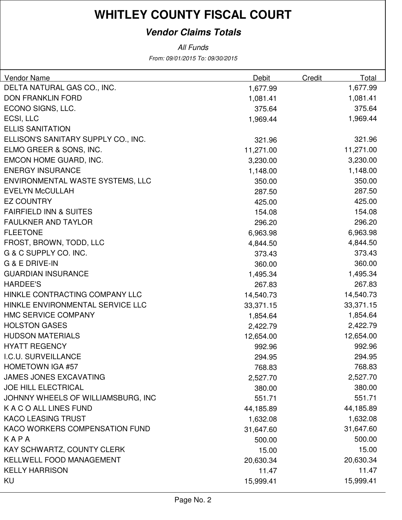### **Vendor Claims Totals**

From: 09/01/2015 To: 09/30/2015 All Funds

| <b>Vendor Name</b>                  | Debit     | Credit | Total     |
|-------------------------------------|-----------|--------|-----------|
| DELTA NATURAL GAS CO., INC.         | 1,677.99  |        | 1,677.99  |
| <b>DON FRANKLIN FORD</b>            | 1,081.41  |        | 1,081.41  |
| ECONO SIGNS, LLC.                   | 375.64    |        | 375.64    |
| ECSI, LLC                           | 1,969.44  |        | 1,969.44  |
| <b>ELLIS SANITATION</b>             |           |        |           |
| ELLISON'S SANITARY SUPPLY CO., INC. | 321.96    |        | 321.96    |
| ELMO GREER & SONS, INC.             | 11,271.00 |        | 11,271.00 |
| EMCON HOME GUARD, INC.              | 3,230.00  |        | 3,230.00  |
| <b>ENERGY INSURANCE</b>             | 1,148.00  |        | 1,148.00  |
| ENVIRONMENTAL WASTE SYSTEMS, LLC    | 350.00    |        | 350.00    |
| <b>EVELYN McCULLAH</b>              | 287.50    |        | 287.50    |
| <b>EZ COUNTRY</b>                   | 425.00    |        | 425.00    |
| <b>FAIRFIELD INN &amp; SUITES</b>   | 154.08    |        | 154.08    |
| <b>FAULKNER AND TAYLOR</b>          | 296.20    |        | 296.20    |
| <b>FLEETONE</b>                     | 6,963.98  |        | 6,963.98  |
| FROST, BROWN, TODD, LLC             | 4,844.50  |        | 4,844.50  |
| G & C SUPPLY CO. INC.               | 373.43    |        | 373.43    |
| G & E DRIVE-IN                      | 360.00    |        | 360.00    |
| <b>GUARDIAN INSURANCE</b>           | 1,495.34  |        | 1,495.34  |
| <b>HARDEE'S</b>                     | 267.83    |        | 267.83    |
| HINKLE CONTRACTING COMPANY LLC      | 14,540.73 |        | 14,540.73 |
| HINKLE ENVIRONMENTAL SERVICE LLC    | 33,371.15 |        | 33,371.15 |
| <b>HMC SERVICE COMPANY</b>          | 1,854.64  |        | 1,854.64  |
| <b>HOLSTON GASES</b>                | 2,422.79  |        | 2,422.79  |
| <b>HUDSON MATERIALS</b>             | 12,654.00 |        | 12,654.00 |
| <b>HYATT REGENCY</b>                | 992.96    |        | 992.96    |
| I.C.U. SURVEILLANCE                 | 294.95    |        | 294.95    |
| <b>HOMETOWN IGA #57</b>             | 768.83    |        | 768.83    |
| <b>JAMES JONES EXCAVATING</b>       | 2,527.70  |        | 2,527.70  |
| <b>JOE HILL ELECTRICAL</b>          | 380.00    |        | 380.00    |
| JOHNNY WHEELS OF WILLIAMSBURG, INC  | 551.71    |        | 551.71    |
| K A C O ALL LINES FUND              | 44,185.89 |        | 44,185.89 |
| <b>KACO LEASING TRUST</b>           | 1,632.08  |        | 1,632.08  |
| KACO WORKERS COMPENSATION FUND      | 31,647.60 |        | 31,647.60 |
| KAPA                                | 500.00    |        | 500.00    |
| KAY SCHWARTZ, COUNTY CLERK          | 15.00     |        | 15.00     |
| <b>KELLWELL FOOD MANAGEMENT</b>     | 20,630.34 |        | 20,630.34 |
| <b>KELLY HARRISON</b>               | 11.47     |        | 11.47     |
| KU                                  | 15,999.41 |        | 15,999.41 |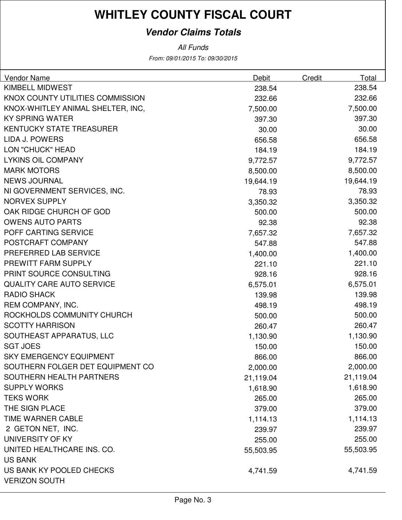### **Vendor Claims Totals**

All Funds

From: 09/01/2015 To: 09/30/2015

| <b>Vendor Name</b>                | Debit     | Credit | Total     |
|-----------------------------------|-----------|--------|-----------|
| KIMBELL MIDWEST                   | 238.54    |        | 238.54    |
| KNOX COUNTY UTILITIES COMMISSION  | 232.66    |        | 232.66    |
| KNOX-WHITLEY ANIMAL SHELTER, INC, | 7,500.00  |        | 7,500.00  |
| <b>KY SPRING WATER</b>            | 397.30    |        | 397.30    |
| <b>KENTUCKY STATE TREASURER</b>   | 30.00     |        | 30.00     |
| LIDA J. POWERS                    | 656.58    |        | 656.58    |
| <b>LON "CHUCK" HEAD</b>           | 184.19    |        | 184.19    |
| <b>LYKINS OIL COMPANY</b>         | 9,772.57  |        | 9,772.57  |
| <b>MARK MOTORS</b>                | 8,500.00  |        | 8,500.00  |
| <b>NEWS JOURNAL</b>               | 19,644.19 |        | 19,644.19 |
| NI GOVERNMENT SERVICES, INC.      | 78.93     |        | 78.93     |
| <b>NORVEX SUPPLY</b>              | 3,350.32  |        | 3,350.32  |
| OAK RIDGE CHURCH OF GOD           | 500.00    |        | 500.00    |
| <b>OWENS AUTO PARTS</b>           | 92.38     |        | 92.38     |
| POFF CARTING SERVICE              | 7,657.32  |        | 7,657.32  |
| POSTCRAFT COMPANY                 | 547.88    |        | 547.88    |
| PREFERRED LAB SERVICE             | 1,400.00  |        | 1,400.00  |
| PREWITT FARM SUPPLY               | 221.10    |        | 221.10    |
| PRINT SOURCE CONSULTING           | 928.16    |        | 928.16    |
| <b>QUALITY CARE AUTO SERVICE</b>  | 6,575.01  |        | 6,575.01  |
| <b>RADIO SHACK</b>                | 139.98    |        | 139.98    |
| REM COMPANY, INC.                 | 498.19    |        | 498.19    |
| ROCKHOLDS COMMUNITY CHURCH        | 500.00    |        | 500.00    |
| <b>SCOTTY HARRISON</b>            | 260.47    |        | 260.47    |
| SOUTHEAST APPARATUS, LLC          | 1,130.90  |        | 1,130.90  |
| <b>SGT JOES</b>                   | 150.00    |        | 150.00    |
| <b>SKY EMERGENCY EQUIPMENT</b>    | 866.00    |        | 866.00    |
| SOUTHERN FOLGER DET EQUIPMENT CO  | 2,000.00  |        | 2,000.00  |
| SOUTHERN HEALTH PARTNERS          | 21,119.04 |        | 21,119.04 |
| <b>SUPPLY WORKS</b>               | 1,618.90  |        | 1,618.90  |
| <b>TEKS WORK</b>                  | 265.00    |        | 265.00    |
| THE SIGN PLACE                    | 379.00    |        | 379.00    |
| TIME WARNER CABLE                 | 1,114.13  |        | 1,114.13  |
| 2 GETON NET, INC.                 | 239.97    |        | 239.97    |
| UNIVERSITY OF KY                  | 255.00    |        | 255.00    |
| UNITED HEALTHCARE INS. CO.        | 55,503.95 |        | 55,503.95 |
| <b>US BANK</b>                    |           |        |           |
| US BANK KY POOLED CHECKS          | 4,741.59  |        | 4,741.59  |
| <b>VERIZON SOUTH</b>              |           |        |           |